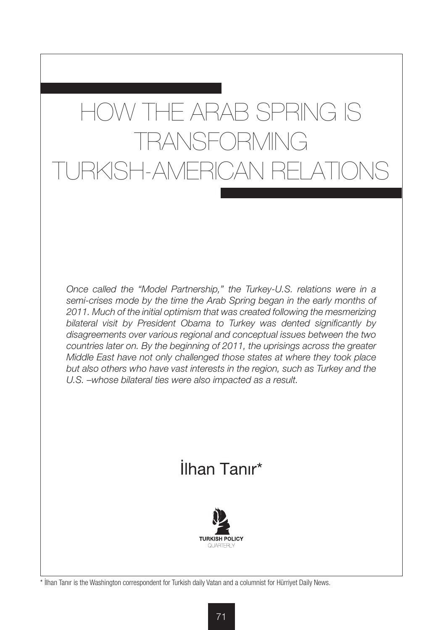# HOW THE ARAB SPRING IS TRANSFORMING TURKISH-AMERICAN RELATIONS

*Once called the "Model Partnership," the Turkey-U.S. relations were in a semi-crises mode by the time the Arab Spring began in the early months of 2011. Much of the initial optimism that was created following the mesmerizing bilateral visit by President Obama to Turkey was dented significantly by disagreements over various regional and conceptual issues between the two countries later on. By the beginning of 2011, the uprisings across the greater Middle East have not only challenged those states at where they took place but also others who have vast interests in the region, such as Turkey and the U.S. –whose bilateral ties were also impacted as a result.* 

## İlhan Tanır\*



\* İlhan Tanır is the Washington correspondent for Turkish daily Vatan and a columnist for Hürriyet Daily News.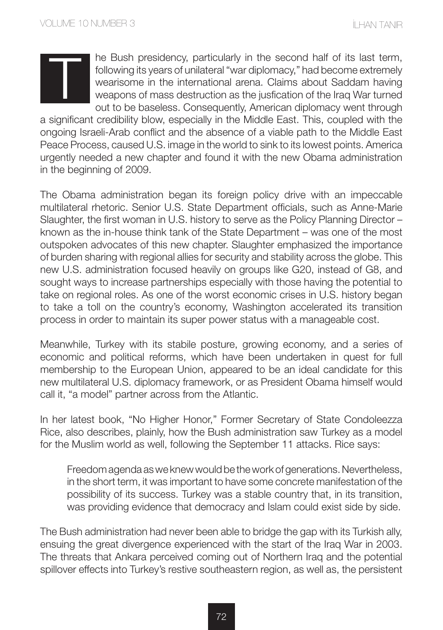he Bush presidency, particularly in the second half of its last term, following its years of unilateral "war diplomacy," had become extremely wearisome in the international arena. Claims about Saddam having weapons of mass destruction as the jusfication of the Iraq War turned out to be baseless. Consequently, American diplomacy went through

a significant credibility blow, especially in the Middle East. This, coupled with the ongoing Israeli-Arab conflict and the absence of a viable path to the Middle East Peace Process, caused U.S. image in the world to sink to its lowest points. America urgently needed a new chapter and found it with the new Obama administration in the beginning of 2009.

The Obama administration began its foreign policy drive with an impeccable multilateral rhetoric. Senior U.S. State Department officials, such as Anne-Marie Slaughter, the first woman in U.S. history to serve as the Policy Planning Director – known as the in-house think tank of the State Department – was one of the most outspoken advocates of this new chapter. Slaughter emphasized the importance of burden sharing with regional allies for security and stability across the globe. This new U.S. administration focused heavily on groups like G20, instead of G8, and sought ways to increase partnerships especially with those having the potential to take on regional roles. As one of the worst economic crises in U.S. history began to take a toll on the country's economy, Washington accelerated its transition process in order to maintain its super power status with a manageable cost.

Meanwhile, Turkey with its stabile posture, growing economy, and a series of economic and political reforms, which have been undertaken in quest for full membership to the European Union, appeared to be an ideal candidate for this new multilateral U.S. diplomacy framework, or as President Obama himself would call it, "a model" partner across from the Atlantic.

In her latest book, "No Higher Honor," Former Secretary of State Condoleezza Rice, also describes, plainly, how the Bush administration saw Turkey as a model for the Muslim world as well, following the September 11 attacks. Rice says:

Freedom agenda as we knew would be the work of generations. Nevertheless, in the short term, it was important to have some concrete manifestation of the possibility of its success. Turkey was a stable country that, in its transition, was providing evidence that democracy and Islam could exist side by side.

The Bush administration had never been able to bridge the gap with its Turkish ally, ensuing the great divergence experienced with the start of the Iraq War in 2003. The threats that Ankara perceived coming out of Northern Iraq and the potential spillover effects into Turkey's restive southeastern region, as well as, the persistent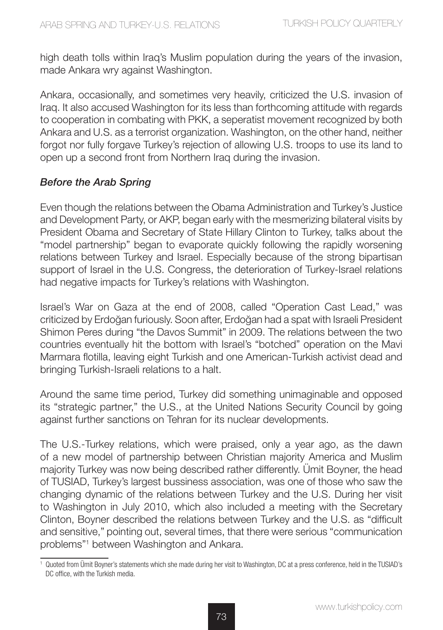high death tolls within Iraq's Muslim population during the years of the invasion, made Ankara wry against Washington.

Ankara, occasionally, and sometimes very heavily, criticized the U.S. invasion of Iraq. It also accused Washington for its less than forthcoming attitude with regards to cooperation in combating with PKK, a seperatist movement recognized by both Ankara and U.S. as a terrorist organization. Washington, on the other hand, neither forgot nor fully forgave Turkey's rejection of allowing U.S. troops to use its land to open up a second front from Northern Iraq during the invasion.

#### *Before the Arab Spring*

Even though the relations between the Obama Administration and Turkey's Justice and Development Party, or AKP, began early with the mesmerizing bilateral visits by President Obama and Secretary of State Hillary Clinton to Turkey, talks about the "model partnership" began to evaporate quickly following the rapidly worsening relations between Turkey and Israel. Especially because of the strong bipartisan support of Israel in the U.S. Congress, the deterioration of Turkey-Israel relations had negative impacts for Turkey's relations with Washington.

Israel's War on Gaza at the end of 2008, called "Operation Cast Lead," was criticized by Erdoğan furiously. Soon after, Erdoğan had a spat with Israeli President Shimon Peres during "the Davos Summit" in 2009. The relations between the two countries eventually hit the bottom with Israel's "botched" operation on the Mavi Marmara flotilla, leaving eight Turkish and one American-Turkish activist dead and bringing Turkish-Israeli relations to a halt.

Around the same time period, Turkey did something unimaginable and opposed its "strategic partner," the U.S., at the United Nations Security Council by going against further sanctions on Tehran for its nuclear developments.

The U.S.-Turkey relations, which were praised, only a year ago, as the dawn of a new model of partnership between Christian majority America and Muslim majority Turkey was now being described rather differently. Ümit Boyner, the head of TUSIAD, Turkey's largest bussiness association, was one of those who saw the changing dynamic of the relations between Turkey and the U.S. During her visit to Washington in July 2010, which also included a meeting with the Secretary Clinton, Boyner described the relations between Turkey and the U.S. as "difficult and sensitive," pointing out, several times, that there were serious "communication problems"1 between Washington and Ankara.

<sup>1</sup> Quoted from Ümit Boyner's statements which she made during her visit to Washington, DC at a press conference, held in the TUSIAD's DC office, with the Turkish media.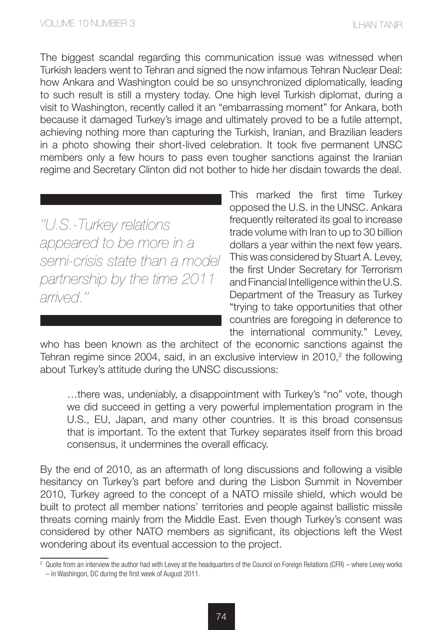The biggest scandal regarding this communication issue was witnessed when Turkish leaders went to Tehran and signed the now infamous Tehran Nuclear Deal: how Ankara and Washington could be so unsynchronized diplomatically, leading to such result is still a mystery today. One high level Turkish diplomat, during a visit to Washington, recently called it an "embarrassing moment" for Ankara, both because it damaged Turkey's image and ultimately proved to be a futile attempt, achieving nothing more than capturing the Turkish, Iranian, and Brazilian leaders in a photo showing their short-lived celebration. It took five permanent UNSC members only a few hours to pass even tougher sanctions against the Iranian regime and Secretary Clinton did not bother to hide her disdain towards the deal.

*''U.S.-Turkey relations appeared to be more in a semi-crisis state than a model partnership by the time 2011 arrived.''*

This marked the first time Turkey opposed the U.S. in the UNSC. Ankara frequently reiterated its goal to increase trade volume with Iran to up to 30 billion dollars a year within the next few years. This was considered by Stuart A. Levey, the first Under Secretary for Terrorism and Financial Intelligence within the U.S. Department of the Treasury as Turkey "trying to take opportunities that other countries are foregoing in deference to the international community." Levey,

who has been known as the architect of the economic sanctions against the Tehran regime since 2004, said, in an exclusive interview in 2010,<sup>2</sup> the following about Turkey's attitude during the UNSC discussions:

…there was, undeniably, a disappointment with Turkey's "no" vote, though we did succeed in getting a very powerful implementation program in the U.S., EU, Japan, and many other countries. It is this broad consensus that is important. To the extent that Turkey separates itself from this broad consensus, it undermines the overall efficacy.

By the end of 2010, as an aftermath of long discussions and following a visible hesitancy on Turkey's part before and during the Lisbon Summit in November 2010, Turkey agreed to the concept of a NATO missile shield, which would be built to protect all member nations' territories and people against ballistic missile threats coming mainly from the Middle East. Even though Turkey's consent was considered by other NATO members as significant, its objections left the West wondering about its eventual accession to the project.

<sup>2</sup> Quote from an interview the author had with Levey at the headquarters of the Council on Foreign Relations (CFR) – where Levey works – in Washingon, DC during the first week of August 2011.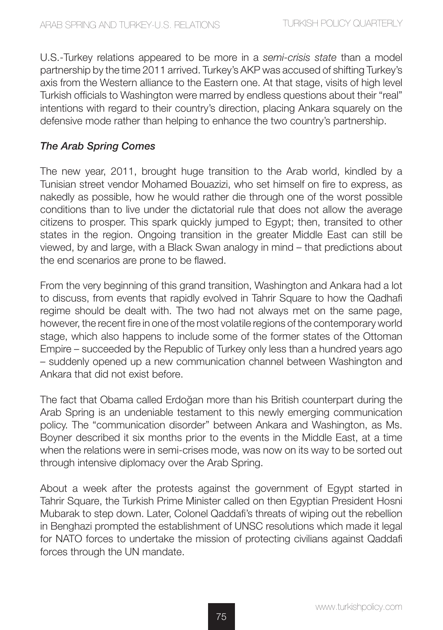U.S.-Turkey relations appeared to be more in a *semi-crisis state* than a model partnership by the time 2011 arrived. Turkey's AKP was accused of shifting Turkey's axis from the Western alliance to the Eastern one. At that stage, visits of high level Turkish officials to Washington were marred by endless questions about their "real" intentions with regard to their country's direction, placing Ankara squarely on the defensive mode rather than helping to enhance the two country's partnership.

#### *The Arab Spring Comes*

The new year, 2011, brought huge transition to the Arab world, kindled by a Tunisian street vendor Mohamed Bouazizi, who set himself on fire to express, as nakedly as possible, how he would rather die through one of the worst possible conditions than to live under the dictatorial rule that does not allow the average citizens to prosper. This spark quickly jumped to Egypt; then, transited to other states in the region. Ongoing transition in the greater Middle East can still be viewed, by and large, with a Black Swan analogy in mind – that predictions about the end scenarios are prone to be flawed.

From the very beginning of this grand transition, Washington and Ankara had a lot to discuss, from events that rapidly evolved in Tahrir Square to how the Qadhafi regime should be dealt with. The two had not always met on the same page, however, the recent fire in one of the most volatile regions of the contemporary world stage, which also happens to include some of the former states of the Ottoman Empire – succeeded by the Republic of Turkey only less than a hundred years ago – suddenly opened up a new communication channel between Washington and Ankara that did not exist before.

The fact that Obama called Erdoğan more than his British counterpart during the Arab Spring is an undeniable testament to this newly emerging communication policy. The "communication disorder" between Ankara and Washington, as Ms. Boyner described it six months prior to the events in the Middle East, at a time when the relations were in semi-crises mode, was now on its way to be sorted out through intensive diplomacy over the Arab Spring.

About a week after the protests against the government of Egypt started in Tahrir Square, the Turkish Prime Minister called on then Egyptian President Hosni Mubarak to step down. Later, Colonel Qaddafi's threats of wiping out the rebellion in Benghazi prompted the establishment of UNSC resolutions which made it legal for NATO forces to undertake the mission of protecting civilians against Qaddafi forces through the UN mandate.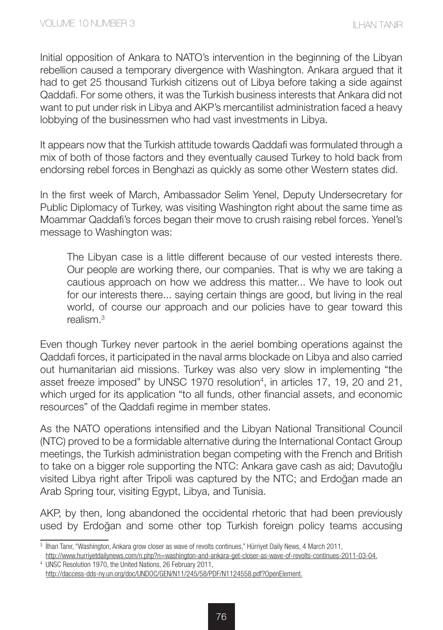Initial opposition of Ankara to NATO's intervention in the beginning of the Libyan rebellion caused a temporary divergence with Washington. Ankara argued that it had to get 25 thousand Turkish citizens out of Libya before taking a side against Qaddafi. For some others, it was the Turkish business interests that Ankara did not want to put under risk in Libya and AKP's mercantilist administration faced a heavy lobbying of the businessmen who had vast investments in Libya.

It appears now that the Turkish attitude towards Qaddafi was formulated through a mix of both of those factors and they eventually caused Turkey to hold back from endorsing rebel forces in Benghazi as quickly as some other Western states did.

In the first week of March, Ambassador Selim Yenel, Deputy Undersecretary for Public Diplomacy of Turkey, was visiting Washington right about the same time as Moammar Qaddafi's forces began their move to crush raising rebel forces. Yenel's message to Washington was:

The Libyan case is a little different because of our vested interests there. Our people are working there, our companies. That is why we are taking a cautious approach on how we address this matter... We have to look out for our interests there... saying certain things are good, but living in the real world, of course our approach and our policies have to gear toward this  $r$ ealism  $3$ 

Even though Turkey never partook in the aeriel bombing operations against the Qaddafi forces, it participated in the naval arms blockade on Libya and also carried out humanitarian aid missions. Turkey was also very slow in implementing "the asset freeze imposed" by UNSC 1970 resolution<sup>4</sup>, in articles 17, 19, 20 and 21, which urged for its application "to all funds, other financial assets, and economic resources" of the Qaddafi regime in member states.

As the NATO operations intensified and the Libyan National Transitional Council (NTC) proved to be a formidable alternative during the International Contact Group meetings, the Turkish administration began competing with the French and British to take on a bigger role supporting the NTC: Ankara gave cash as aid; Davutoğlu visited Libya right after Tripoli was captured by the NTC; and Erdoğan made an Arab Spring tour, visiting Egypt, Libya, and Tunisia.

AKP, by then, long abandoned the occidental rhetoric that had been previously used by Erdoğan and some other top Turkish foreign policy teams accusing

<sup>&</sup>lt;sup>3</sup> İlhan Tanır, "Washington, Ankara grow closer as wave of revolts continues," Hürriyet Daily News, 4 March 2011, http://www.hurriyetdailynews.com/n.php?n=washington-and-ankara-get-closer-as-wave-of-revolts-continues-2011-03-04.

<sup>4</sup> UNSC Resolution 1970, the United Nations, 26 February 2011, http://daccess-dds-ny.un.org/doc/UNDOC/GEN/N11/245/58/PDF/N1124558.pdf?OpenElement.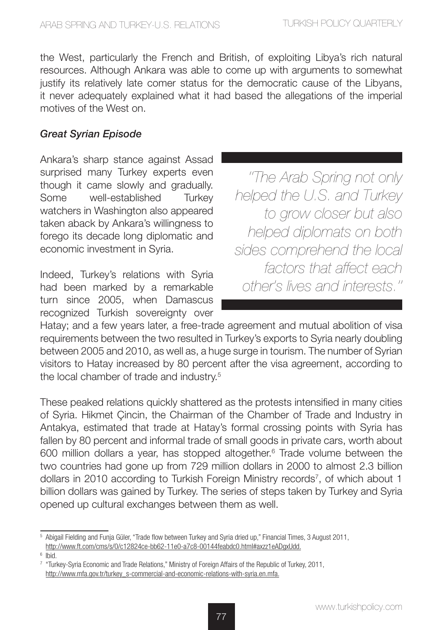the West, particularly the French and British, of exploiting Libya's rich natural resources. Although Ankara was able to come up with arguments to somewhat justify its relatively late comer status for the democratic cause of the Libyans, it never adequately explained what it had based the allegations of the imperial motives of the West on.

#### *Great Syrian Episode*

Ankara's sharp stance against Assad surprised many Turkey experts even though it came slowly and gradually. Some well-established Turkey watchers in Washington also appeared taken aback by Ankara's willingness to forego its decade long diplomatic and economic investment in Syria.

Indeed, Turkey's relations with Syria had been marked by a remarkable turn since 2005, when Damascus recognized Turkish sovereignty over

*''The Arab Spring not only helped the U.S. and Turkey to grow closer but also helped diplomats on both sides comprehend the local factors that affect each other's lives and interests.''* 

Hatay; and a few years later, a free-trade agreement and mutual abolition of visa requirements between the two resulted in Turkey's exports to Syria nearly doubling between 2005 and 2010, as well as, a huge surge in tourism. The number of Syrian visitors to Hatay increased by 80 percent after the visa agreement, according to the local chamber of trade and industry.<sup>5</sup>

These peaked relations quickly shattered as the protests intensified in many cities of Syria. Hikmet Çincin, the Chairman of the Chamber of Trade and Industry in Antakya, estimated that trade at Hatay's formal crossing points with Syria has fallen by 80 percent and informal trade of small goods in private cars, worth about 600 million dollars a year, has stopped altogether.<sup>6</sup> Trade volume between the two countries had gone up from 729 million dollars in 2000 to almost 2.3 billion dollars in 2010 according to Turkish Foreign Ministry records<sup>7</sup>, of which about 1 billion dollars was gained by Turkey. The series of steps taken by Turkey and Syria opened up cultural exchanges between them as well.

<sup>5</sup> Abigail Fielding and Funja Güler, "Trade flow between Turkey and Syria dried up," Financial Times, 3 August 2011, http://www.ft.com/cms/s/0/c12824ce-bb62-11e0-a7c8-00144feabdc0.html#axzz1eADgxUdd.

 $6$  Ibid.

<sup>7</sup> "Turkey-Syria Economic and Trade Relations," Ministry of Foreign Affairs of the Republic of Turkey, 2011, http://www.mfa.gov.tr/turkey\_s-commercial-and-economic-relations-with-syria.en.mfa.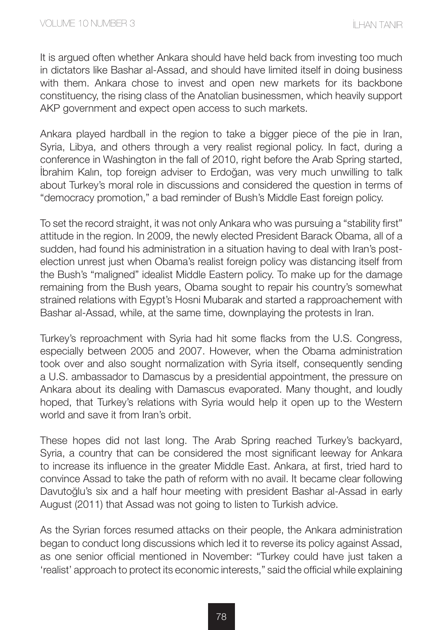It is argued often whether Ankara should have held back from investing too much in dictators like Bashar al-Assad, and should have limited itself in doing business with them. Ankara chose to invest and open new markets for its backbone constituency, the rising class of the Anatolian businessmen, which heavily support AKP government and expect open access to such markets.

Ankara played hardball in the region to take a bigger piece of the pie in Iran, Syria, Libya, and others through a very realist regional policy. In fact, during a conference in Washington in the fall of 2010, right before the Arab Spring started, İbrahim Kalın, top foreign adviser to Erdoğan, was very much unwilling to talk about Turkey's moral role in discussions and considered the question in terms of "democracy promotion," a bad reminder of Bush's Middle East foreign policy.

To set the record straight, it was not only Ankara who was pursuing a "stability first" attitude in the region. In 2009, the newly elected President Barack Obama, all of a sudden, had found his administration in a situation having to deal with Iran's postelection unrest just when Obama's realist foreign policy was distancing itself from the Bush's "maligned" idealist Middle Eastern policy. To make up for the damage remaining from the Bush years, Obama sought to repair his country's somewhat strained relations with Egypt's Hosni Mubarak and started a rapproachement with Bashar al-Assad, while, at the same time, downplaying the protests in Iran.

Turkey's reproachment with Syria had hit some flacks from the U.S. Congress, especially between 2005 and 2007. However, when the Obama administration took over and also sought normalization with Syria itself, consequently sending a U.S. ambassador to Damascus by a presidential appointment, the pressure on Ankara about its dealing with Damascus evaporated. Many thought, and loudly hoped, that Turkey's relations with Syria would help it open up to the Western world and save it from Iran's orbit.

These hopes did not last long. The Arab Spring reached Turkey's backyard, Syria, a country that can be considered the most significant leeway for Ankara to increase its influence in the greater Middle East. Ankara, at first, tried hard to convince Assad to take the path of reform with no avail. It became clear following Davutoğlu's six and a half hour meeting with president Bashar al-Assad in early August (2011) that Assad was not going to listen to Turkish advice.

As the Syrian forces resumed attacks on their people, the Ankara administration began to conduct long discussions which led it to reverse its policy against Assad, as one senior official mentioned in November: "Turkey could have just taken a 'realist' approach to protect its economic interests," said the official while explaining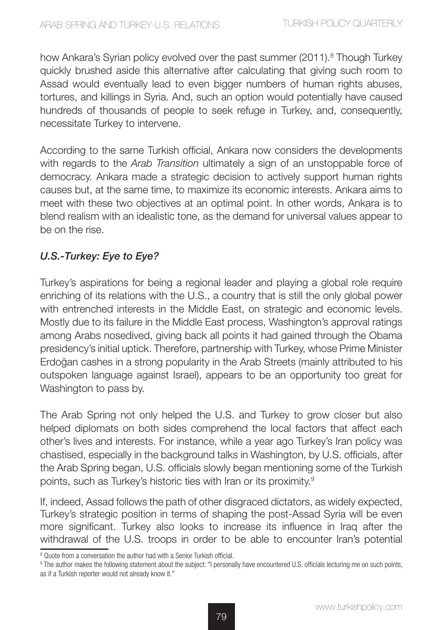how Ankara's Syrian policy evolved over the past summer (2011).<sup>8</sup> Though Turkey quickly brushed aside this alternative after calculating that giving such room to Assad would eventually lead to even bigger numbers of human rights abuses, tortures, and killings in Syria. And, such an option would potentially have caused hundreds of thousands of people to seek refuge in Turkey, and, consequently, necessitate Turkey to intervene.

According to the same Turkish official, Ankara now considers the developments with regards to the *Arab Transition* ultimately a sign of an unstoppable force of democracy. Ankara made a strategic decision to actively support human rights causes but, at the same time, to maximize its economic interests. Ankara aims to meet with these two objectives at an optimal point. In other words, Ankara is to blend realism with an idealistic tone, as the demand for universal values appear to be on the rise.

### *U.S.-Turkey: Eye to Eye?*

Turkey's aspirations for being a regional leader and playing a global role require enriching of its relations with the U.S., a country that is still the only global power with entrenched interests in the Middle East, on strategic and economic levels. Mostly due to its failure in the Middle East process, Washington's approval ratings among Arabs nosedived, giving back all points it had gained through the Obama presidency's initial uptick. Therefore, partnership with Turkey, whose Prime Minister Erdoğan cashes in a strong popularity in the Arab Streets (mainly attributed to his outspoken language against Israel), appears to be an opportunity too great for Washington to pass by.

The Arab Spring not only helped the U.S. and Turkey to grow closer but also helped diplomats on both sides comprehend the local factors that affect each other's lives and interests. For instance, while a year ago Turkey's Iran policy was chastised, especially in the background talks in Washington, by U.S. officials, after the Arab Spring began, U.S. officials slowly began mentioning some of the Turkish points, such as Turkey's historic ties with Iran or its proximity.<sup>9</sup>

If, indeed, Assad follows the path of other disgraced dictators, as widely expected, Turkey's strategic position in terms of shaping the post-Assad Syria will be even more significant. Turkey also looks to increase its influence in Iraq after the withdrawal of the U.S. troops in order to be able to encounter Iran's potential

<sup>&</sup>lt;sup>8</sup> Quote from a conversation the author had with a Senior Turkish official.

<sup>9</sup> The author makes the following statement about the subject: "I personally have encountered U.S. officials lecturing me on such points, as if a Turkish reporter would not already know it."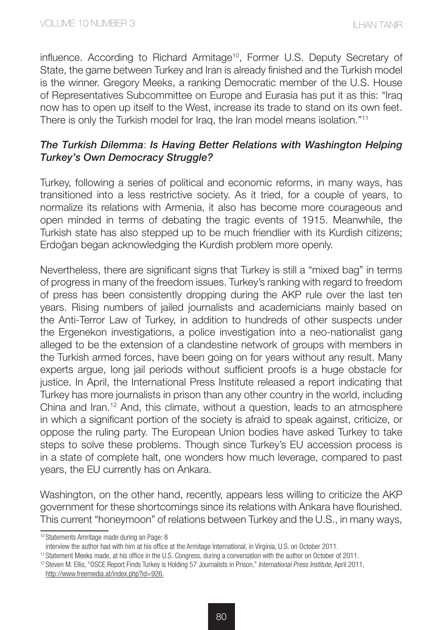influence. According to Richard Armitage10, Former U.S. Deputy Secretary of State, the game between Turkey and Iran is already finished and the Turkish model is the winner. Gregory Meeks, a ranking Democratic member of the U.S. House of Representatives Subcommittee on Europe and Eurasia has put it as this: "Iraq now has to open up itself to the West, increase its trade to stand on its own feet. There is only the Turkish model for Iraq, the Iran model means isolation."<sup>11</sup>

#### *The Turkish Dilemma*: *Is Having Better Relations with Washington Helping Turkey's Own Democracy Struggle?*

Turkey, following a series of political and economic reforms, in many ways, has transitioned into a less restrictive society. As it tried, for a couple of years, to normalize its relations with Armenia, it also has become more courageous and open minded in terms of debating the tragic events of 1915. Meanwhile, the Turkish state has also stepped up to be much friendlier with its Kurdish citizens; Erdoğan began acknowledging the Kurdish problem more openly.

Nevertheless, there are significant signs that Turkey is still a "mixed bag" in terms of progress in many of the freedom issues. Turkey's ranking with regard to freedom of press has been consistently dropping during the AKP rule over the last ten years. Rising numbers of jailed journalists and academicians mainly based on the Anti-Terror Law of Turkey, in addition to hundreds of other suspects under the Ergenekon investigations, a police investigation into a neo-nationalist gang alleged to be the extension of a clandestine network of groups with members in the Turkish armed forces, have been going on for years without any result. Many experts argue, long jail periods without sufficient proofs is a huge obstacle for justice. In April, the International Press Institute released a report indicating that Turkey has more journalists in prison than any other country in the world, including China and Iran.12 And, this climate, without a question, leads to an atmosphere in which a significant portion of the society is afraid to speak against, criticize, or oppose the ruling party. The European Union bodies have asked Turkey to take steps to solve these problems. Though since Turkey's EU accession process is in a state of complete halt, one wonders how much leverage, compared to past years, the EU currently has on Ankara.

Washington, on the other hand, recently, appears less willing to criticize the AKP government for these shortcomings since its relations with Ankara have flourished. This current "honeymoon" of relations between Turkey and the U.S., in many ways,

<sup>10</sup> Statements Amritage made during an Page: 8

interview the author had with him at his office at the Armitage International, in Virginia, U.S. on October 2011.

<sup>11</sup> Statement Meeks made, at his office in the U.S. Congress, during a conversation with the author on October of 2011.

<sup>12</sup> Steven M. Ellis, "OSCE Report Finds Turkey is Holding 57 Journalists in Prison," *International Press Institute,* April 2011, http://www.freemedia.at/index.php?id=926.